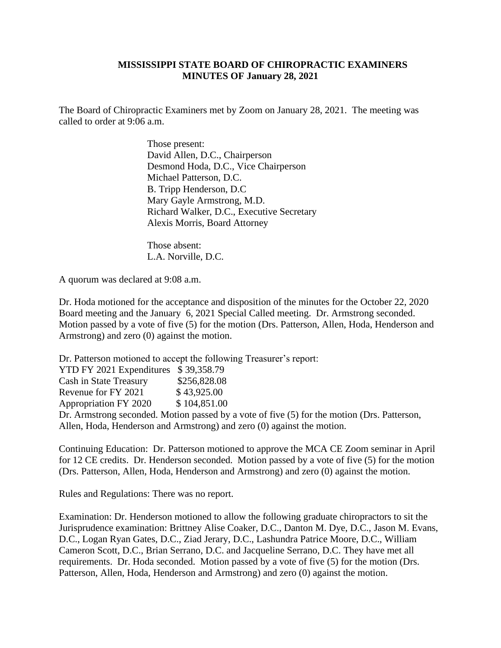## **MISSISSIPPI STATE BOARD OF CHIROPRACTIC EXAMINERS MINUTES OF January 28, 2021**

The Board of Chiropractic Examiners met by Zoom on January 28, 2021. The meeting was called to order at 9:06 a.m.

> Those present: David Allen, D.C., Chairperson Desmond Hoda, D.C., Vice Chairperson Michael Patterson, D.C. B. Tripp Henderson, D.C Mary Gayle Armstrong, M.D. Richard Walker, D.C., Executive Secretary Alexis Morris, Board Attorney

 Those absent: L.A. Norville, D.C.

A quorum was declared at 9:08 a.m.

Dr. Hoda motioned for the acceptance and disposition of the minutes for the October 22, 2020 Board meeting and the January 6, 2021 Special Called meeting. Dr. Armstrong seconded. Motion passed by a vote of five (5) for the motion (Drs. Patterson, Allen, Hoda, Henderson and Armstrong) and zero (0) against the motion.

Dr. Patterson motioned to accept the following Treasurer's report:

YTD FY 2021 Expenditures \$ 39,358.79 Cash in State Treasury \$256,828.08 Revenue for FY 2021 \$43,925.00 Appropriation FY 2020 \$ 104,851.00 Dr. Armstrong seconded. Motion passed by a vote of five (5) for the motion (Drs. Patterson, Allen, Hoda, Henderson and Armstrong) and zero (0) against the motion.

Continuing Education: Dr. Patterson motioned to approve the MCA CE Zoom seminar in April for 12 CE credits. Dr. Henderson seconded. Motion passed by a vote of five (5) for the motion (Drs. Patterson, Allen, Hoda, Henderson and Armstrong) and zero (0) against the motion.

Rules and Regulations: There was no report.

Examination: Dr. Henderson motioned to allow the following graduate chiropractors to sit the Jurisprudence examination: Brittney Alise Coaker, D.C., Danton M. Dye, D.C., Jason M. Evans, D.C., Logan Ryan Gates, D.C., Ziad Jerary, D.C., Lashundra Patrice Moore, D.C., William Cameron Scott, D.C., Brian Serrano, D.C. and Jacqueline Serrano, D.C. They have met all requirements. Dr. Hoda seconded. Motion passed by a vote of five (5) for the motion (Drs. Patterson, Allen, Hoda, Henderson and Armstrong) and zero (0) against the motion.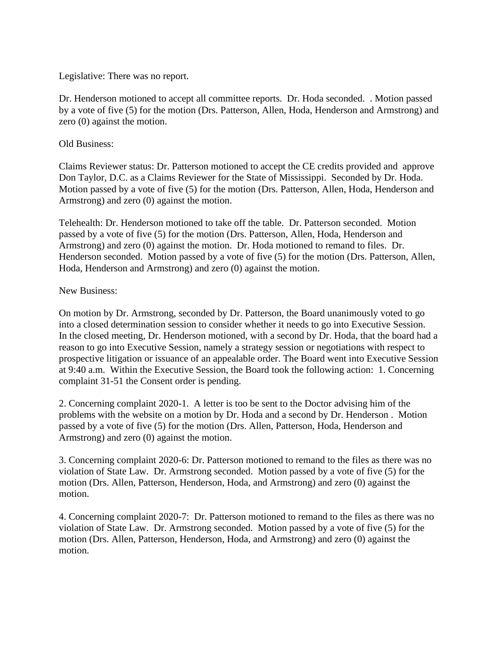Legislative: There was no report.

Dr. Henderson motioned to accept all committee reports. Dr. Hoda seconded. . Motion passed by a vote of five (5) for the motion (Drs. Patterson, Allen, Hoda, Henderson and Armstrong) and zero (0) against the motion.

## Old Business:

Claims Reviewer status: Dr. Patterson motioned to accept the CE credits provided and approve Don Taylor, D.C. as a Claims Reviewer for the State of Mississippi. Seconded by Dr. Hoda. Motion passed by a vote of five (5) for the motion (Drs. Patterson, Allen, Hoda, Henderson and Armstrong) and zero (0) against the motion.

Telehealth: Dr. Henderson motioned to take off the table. Dr. Patterson seconded. Motion passed by a vote of five (5) for the motion (Drs. Patterson, Allen, Hoda, Henderson and Armstrong) and zero (0) against the motion. Dr. Hoda motioned to remand to files. Dr. Henderson seconded. Motion passed by a vote of five (5) for the motion (Drs. Patterson, Allen, Hoda, Henderson and Armstrong) and zero (0) against the motion.

## New Business:

On motion by Dr. Armstrong, seconded by Dr. Patterson, the Board unanimously voted to go into a closed determination session to consider whether it needs to go into Executive Session. In the closed meeting, Dr. Henderson motioned, with a second by Dr. Hoda, that the board had a reason to go into Executive Session, namely a strategy session or negotiations with respect to prospective litigation or issuance of an appealable order. The Board went into Executive Session at 9:40 a.m. Within the Executive Session, the Board took the following action: 1. Concerning complaint 31-51 the Consent order is pending.

2. Concerning complaint 2020-1. A letter is too be sent to the Doctor advising him of the problems with the website on a motion by Dr. Hoda and a second by Dr. Henderson . Motion passed by a vote of five (5) for the motion (Drs. Allen, Patterson, Hoda, Henderson and Armstrong) and zero (0) against the motion.

3. Concerning complaint 2020-6: Dr. Patterson motioned to remand to the files as there was no violation of State Law. Dr. Armstrong seconded. Motion passed by a vote of five (5) for the motion (Drs. Allen, Patterson, Henderson, Hoda, and Armstrong) and zero (0) against the motion.

4. Concerning complaint 2020-7: Dr. Patterson motioned to remand to the files as there was no violation of State Law. Dr. Armstrong seconded. Motion passed by a vote of five (5) for the motion (Drs. Allen, Patterson, Henderson, Hoda, and Armstrong) and zero (0) against the motion.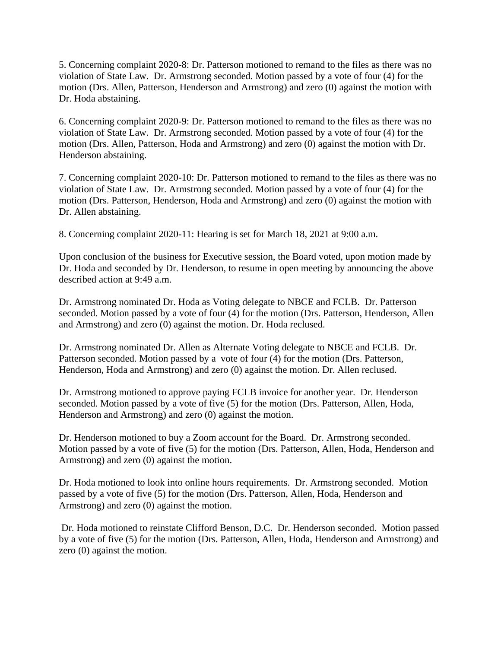5. Concerning complaint 2020-8: Dr. Patterson motioned to remand to the files as there was no violation of State Law. Dr. Armstrong seconded. Motion passed by a vote of four (4) for the motion (Drs. Allen, Patterson, Henderson and Armstrong) and zero (0) against the motion with Dr. Hoda abstaining.

6. Concerning complaint 2020-9: Dr. Patterson motioned to remand to the files as there was no violation of State Law. Dr. Armstrong seconded. Motion passed by a vote of four (4) for the motion (Drs. Allen, Patterson, Hoda and Armstrong) and zero (0) against the motion with Dr. Henderson abstaining.

7. Concerning complaint 2020-10: Dr. Patterson motioned to remand to the files as there was no violation of State Law. Dr. Armstrong seconded. Motion passed by a vote of four (4) for the motion (Drs. Patterson, Henderson, Hoda and Armstrong) and zero (0) against the motion with Dr. Allen abstaining.

8. Concerning complaint 2020-11: Hearing is set for March 18, 2021 at 9:00 a.m.

Upon conclusion of the business for Executive session, the Board voted, upon motion made by Dr. Hoda and seconded by Dr. Henderson, to resume in open meeting by announcing the above described action at 9:49 a.m.

Dr. Armstrong nominated Dr. Hoda as Voting delegate to NBCE and FCLB. Dr. Patterson seconded. Motion passed by a vote of four (4) for the motion (Drs. Patterson, Henderson, Allen and Armstrong) and zero (0) against the motion. Dr. Hoda reclused.

Dr. Armstrong nominated Dr. Allen as Alternate Voting delegate to NBCE and FCLB. Dr. Patterson seconded. Motion passed by a vote of four (4) for the motion (Drs. Patterson, Henderson, Hoda and Armstrong) and zero (0) against the motion. Dr. Allen reclused.

Dr. Armstrong motioned to approve paying FCLB invoice for another year. Dr. Henderson seconded. Motion passed by a vote of five (5) for the motion (Drs. Patterson, Allen, Hoda, Henderson and Armstrong) and zero (0) against the motion.

Dr. Henderson motioned to buy a Zoom account for the Board. Dr. Armstrong seconded. Motion passed by a vote of five (5) for the motion (Drs. Patterson, Allen, Hoda, Henderson and Armstrong) and zero (0) against the motion.

Dr. Hoda motioned to look into online hours requirements. Dr. Armstrong seconded. Motion passed by a vote of five (5) for the motion (Drs. Patterson, Allen, Hoda, Henderson and Armstrong) and zero (0) against the motion.

Dr. Hoda motioned to reinstate Clifford Benson, D.C. Dr. Henderson seconded. Motion passed by a vote of five (5) for the motion (Drs. Patterson, Allen, Hoda, Henderson and Armstrong) and zero (0) against the motion.